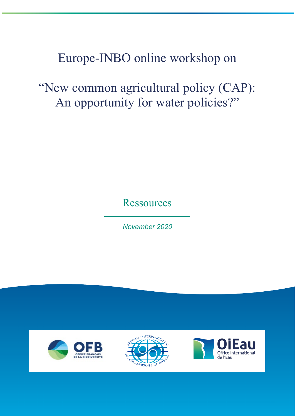# Europe-INBO online workshop on

"New common agricultural policy (CAP): An opportunity for water policies?"

**Ressources** 

*November 2020*





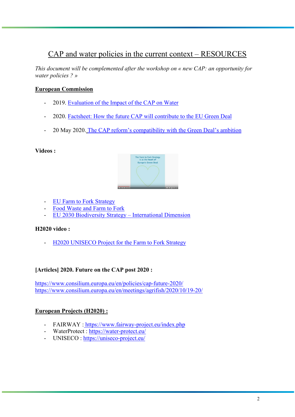# CAP and water policies in the current context – RESOURCES

*This document will be complemented after the workshop on « new CAP: an opportunity for water policies ? »*

#### **European Commission**

- 2019. [Evaluation of the Impact of the CAP on Water](https://ec.europa.eu/info/food-farming-fisheries/key-policies/common-agricultural-policy/cmef/sustainability/impact-cap-water_en)
- 2020. [Factsheet: How the future CAP will contribute to the EU Green Deal](https://ec.europa.eu/commission/presscorner/detail/en/fs_20_910)
- 20 May 2020. [The CAP reform's compatibility with the Green Deal's ambition](https://ec.europa.eu/info/news/cap-reforms-compatibility-green-deals-ambition-2020-may-20_en)

#### **Videos :**



- [EU Farm to Fork Strategy](https://www.youtube.com/watch?v=1tXseroYYFs)
- [Food Waste and Farm to Fork](https://www.youtube.com/watch?v=wLYgssYLUDg)
- [EU 2030 Biodiversity Strategy –](https://www.youtube.com/watch?v=SL7NihkezQw) International Dimension

#### **H2020 video :**

- [H2020 UNISECO Project for the Farm to Fork Strategy](https://www.youtube.com/watch?v=an6zI3msCmE)

#### **[Articles] 2020. Future on the CAP post 2020 :**

<https://www.consilium.europa.eu/en/policies/cap-future-2020/> <https://www.consilium.europa.eu/en/meetings/agrifish/2020/10/19-20/>

#### **European Projects (H2020) :**

- FAIRWAY : <https://www.fairway-project.eu/index.php>
- WaterProtect :<https://water-protect.eu/>
- UNISECO :<https://uniseco-project.eu/>